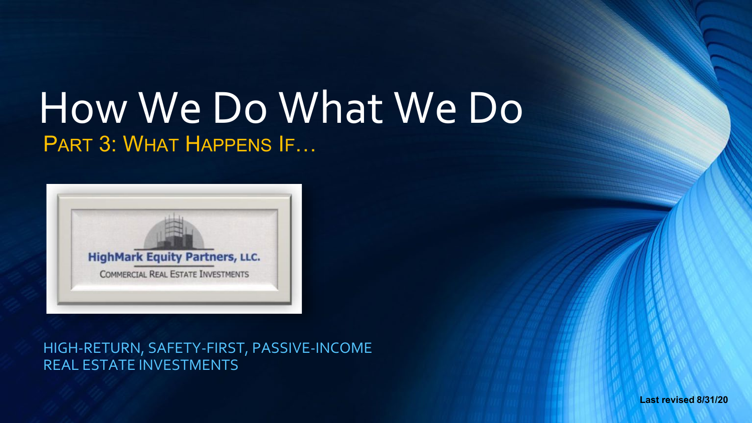# How We Do What We Do PART 3: WHAT HAPPENS IF…



HIGH-RETURN, SAFETY-FIRST, PASSIVE-INCOME REAL ESTATE INVESTMENTS

**Last revised 8/31/20**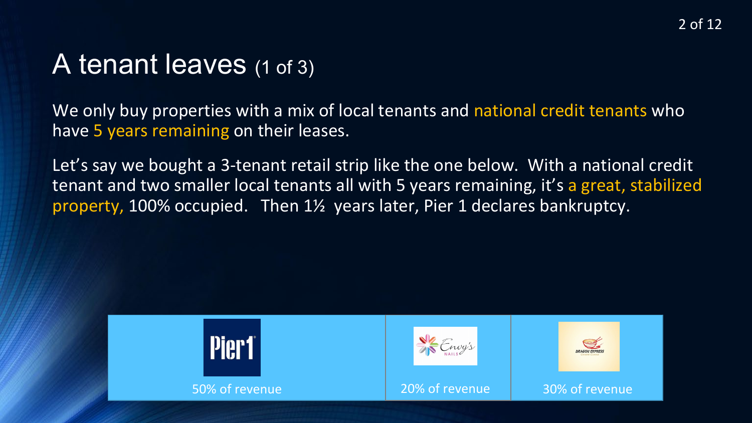# A tenant leaves (1 of 3)

We only buy properties with a mix of local tenants and national credit tenants who have 5 years remaining on their leases.

Let's say we bought a 3-tenant retail strip like the one below. With a national credit tenant and two smaller local tenants all with 5 years remaining, it's a great, stabilized property, 100% occupied. Then 1½ years later, Pier 1 declares bankruptcy.

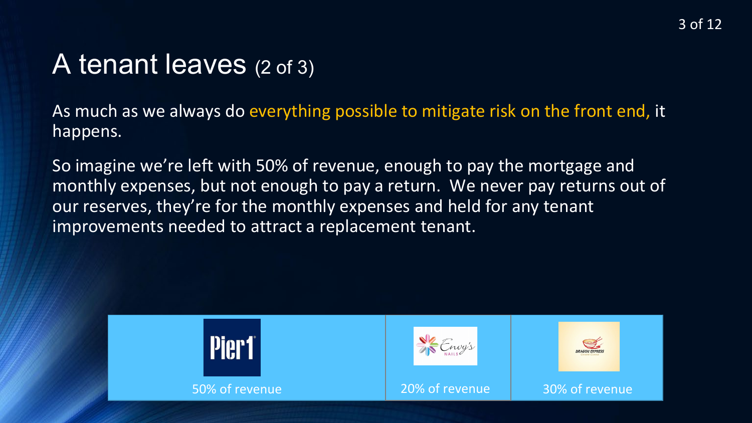# A tenant leaves (2 of 3)

As much as we always do everything possible to mitigate risk on the front end, it happens.

So imagine we're left with 50% of revenue, enough to pay the mortgage and monthly expenses, but not enough to pay a return. We never pay returns out of our reserves, they're for the monthly expenses and held for any tenant improvements needed to attract a replacement tenant.

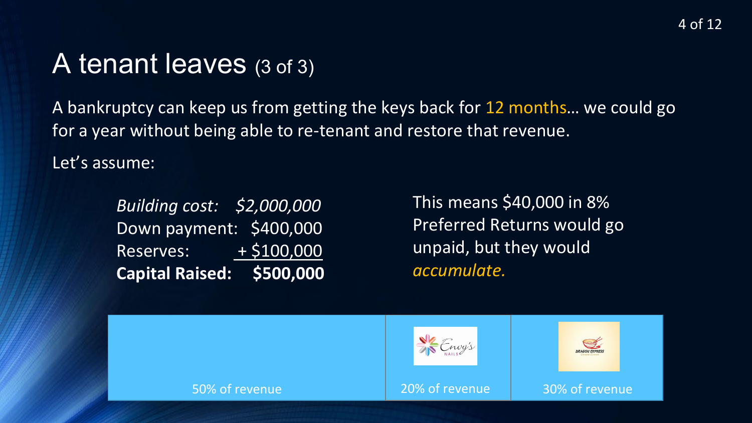#### A tenant leaves (3 of 3)

A bankruptcy can keep us from getting the keys back for 12 months… we could go for a year without being able to re-tenant and restore that revenue.

Let's assume:

*Building cost: \$2,000,000*  Down payment: \$400,000 Reserves: + \$100,000 **Capital Raised: \$500,000** 

This means \$40,000 in 8% Preferred Returns would go unpaid, but they would *accumulate.*

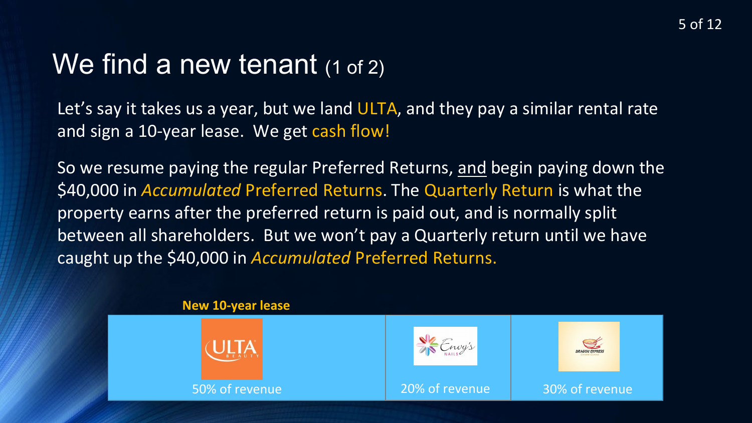# We find a new tenant (1 of 2)

Let's say it takes us a year, but we land ULTA, and they pay a similar rental rate and sign a 10-year lease. We get cash flow!

So we resume paying the regular Preferred Returns, and begin paying down the \$40,000 in *Accumulated* Preferred Returns. The Quarterly Return is what the property earns after the preferred return is paid out, and is normally split between all shareholders. But we won't pay a Quarterly return until we have caught up the \$40,000 in *Accumulated* Preferred Returns.

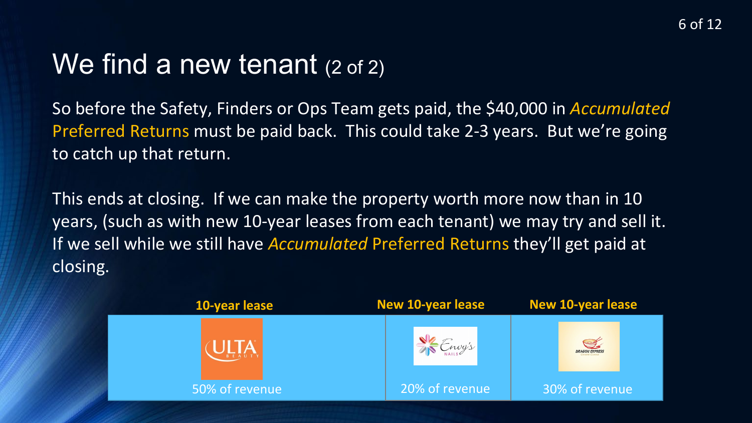# We find a new tenant (2 of 2)

So before the Safety, Finders or Ops Team gets paid, the \$40,000 in *Accumulated*  Preferred Returns must be paid back. This could take 2-3 years. But we're going to catch up that return.

This ends at closing. If we can make the property worth more now than in 10 years, (such as with new 10-year leases from each tenant) we may try and sell it. If we sell while we still have *Accumulated* Preferred Returns they'll get paid at closing.

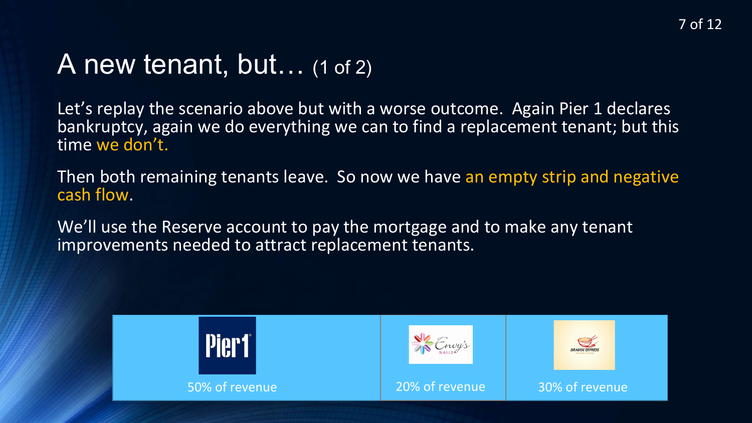#### A new tenant, but… (1 of 2)

Let's replay the scenario above but with a worse outcome. Again Pier 1 declares bankruptcy, again we do everything we can to find a replacement tenant; but this time we don't.

Then both remaining tenants leave. So now we have an empty strip and negative cash flow.

We'll use the Reserve account to pay the mortgage and to make any tenant improvements needed to attract replacement tenants.

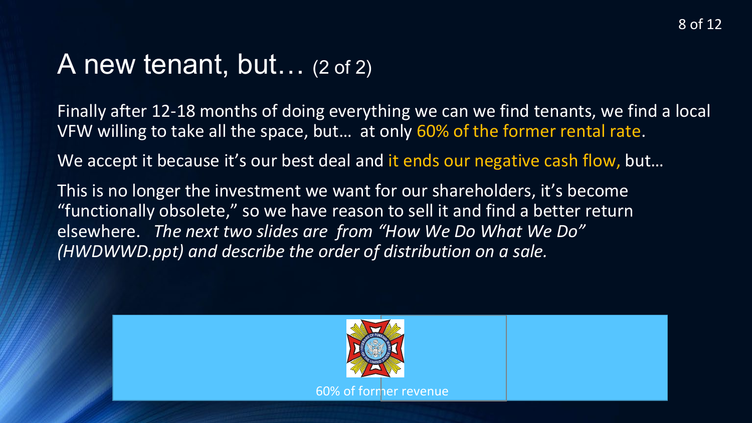#### A new tenant, but… (2 of 2)

Finally after 12-18 months of doing everything we can we find tenants, we find a local VFW willing to take all the space, but… at only 60% of the former rental rate.

We accept it because it's our best deal and it ends our negative cash flow, but...

This is no longer the investment we want for our shareholders, it's become "functionally obsolete," so we have reason to sell it and find a better return elsewhere. *The next two slides are from "How We Do What We Do" (HWDWWD.ppt) and describe the order of distribution on a sale.* 

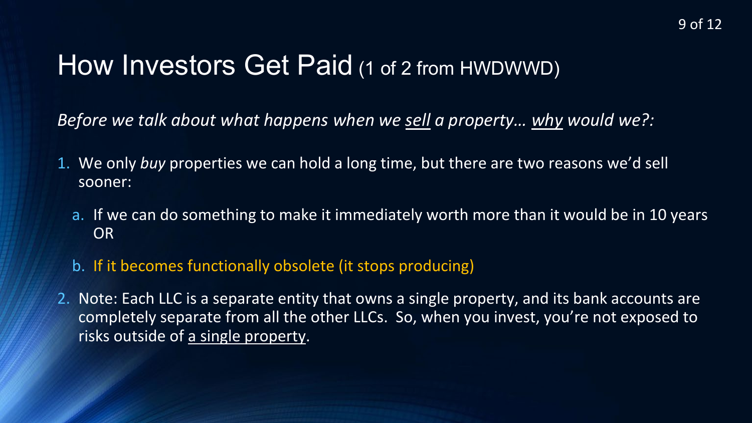# How Investors Get Paid (1 of 2 from HWDWWD)

*Before we talk about what happens when we sell a property… why would we?:*

- 1. We only *buy* properties we can hold a long time, but there are two reasons we'd sell sooner:
	- a. If we can do something to make it immediately worth more than it would be in 10 years OR
	- b. If it becomes functionally obsolete (it stops producing)
- 2. Note: Each LLC is a separate entity that owns a single property, and its bank accounts are completely separate from all the other LLCs. So, when you invest, you're not exposed to risks outside of a single property.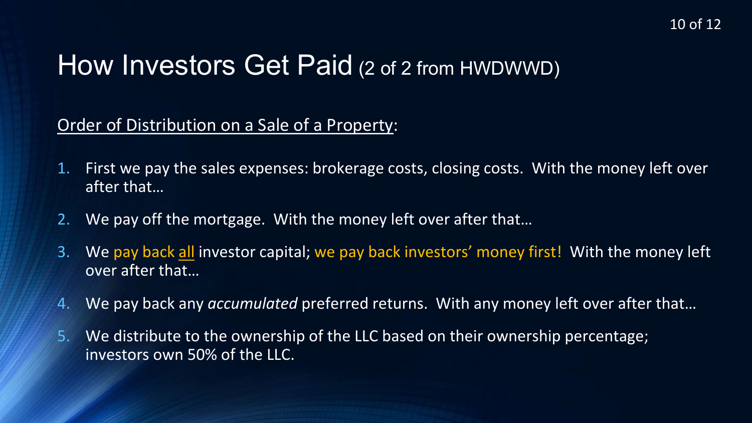# How Investors Get Paid (2 of 2 from HWDWWD)

Order of Distribution on a Sale of a Property:

- 1. First we pay the sales expenses: brokerage costs, closing costs. With the money left over after that…
- 2. We pay off the mortgage. With the money left over after that…
- 3. We pay back all investor capital; we pay back investors' money first! With the money left over after that…
- 4. We pay back any *accumulated* preferred returns. With any money left over after that…
- 5. We distribute to the ownership of the LLC based on their ownership percentage; investors own 50% of the LLC.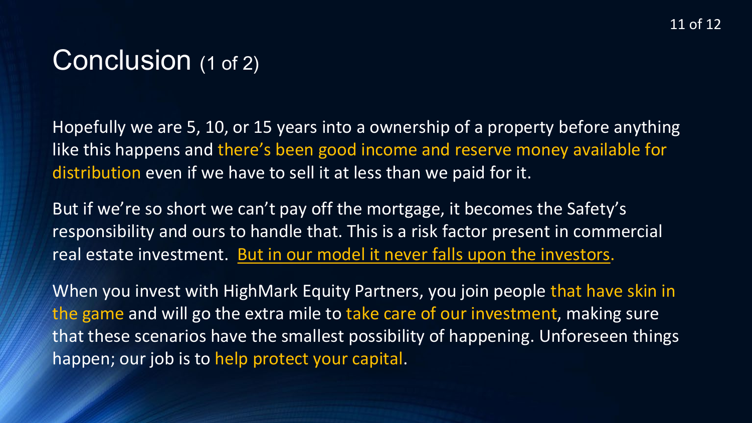# Conclusion (1 of 2)

Hopefully we are 5, 10, or 15 years into a ownership of a property before anything like this happens and there's been good income and reserve money available for distribution even if we have to sell it at less than we paid for it.

But if we're so short we can't pay off the mortgage, it becomes the Safety's responsibility and ours to handle that. This is a risk factor present in commercial real estate investment. But in our model it never falls upon the investors.

When you invest with HighMark Equity Partners, you join people that have skin in the game and will go the extra mile to take care of our investment, making sure that these scenarios have the smallest possibility of happening. Unforeseen things happen; our job is to help protect your capital.